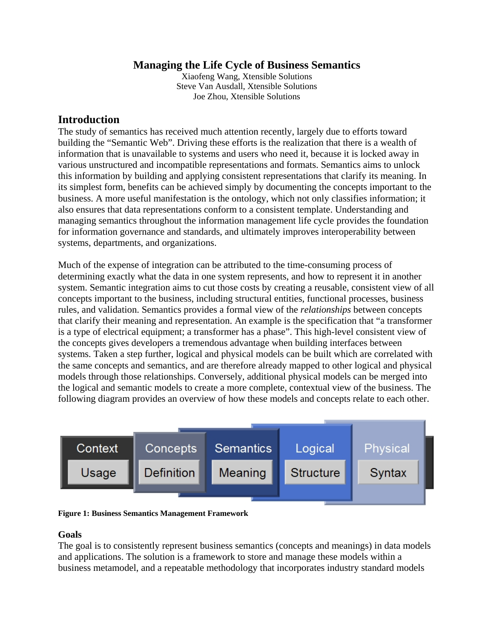## **Managing the Life Cycle of Business Semantics**

Xiaofeng Wang, Xtensible Solutions Steve Van Ausdall, Xtensible Solutions Joe Zhou, Xtensible Solutions

## **Introduction**

The study of semantics has received much attention recently, largely due to efforts toward building the "Semantic Web". Driving these efforts is the realization that there is a wealth of information that is unavailable to systems and users who need it, because it is locked away in various unstructured and incompatible representations and formats. Semantics aims to unlock this information by building and applying consistent representations that clarify its meaning. In its simplest form, benefits can be achieved simply by documenting the concepts important to the business. A more useful manifestation is the ontology, which not only classifies information; it also ensures that data representations conform to a consistent template. Understanding and managing semantics throughout the information management life cycle provides the foundation for information governance and standards, and ultimately improves interoperability between systems, departments, and organizations.

Much of the expense of integration can be attributed to the time-consuming process of determining exactly what the data in one system represents, and how to represent it in another system. Semantic integration aims to cut those costs by creating a reusable, consistent view of all concepts important to the business, including structural entities, functional processes, business rules, and validation. Semantics provides a formal view of the *relationships* between concepts that clarify their meaning and representation. An example is the specification that "a transformer is a type of electrical equipment; a transformer has a phase". This high-level consistent view of the concepts gives developers a tremendous advantage when building interfaces between systems. Taken a step further, logical and physical models can be built which are correlated with the same concepts and semantics, and are therefore already mapped to other logical and physical models through those relationships. Conversely, additional physical models can be merged into the logical and semantic models to create a more complete, contextual view of the business. The following diagram provides an overview of how these models and concepts relate to each other.



**Figure 1: Business Semantics Management Framework** 

#### **Goals**

The goal is to consistently represent business semantics (concepts and meanings) in data models and applications. The solution is a framework to store and manage these models within a business metamodel, and a repeatable methodology that incorporates industry standard models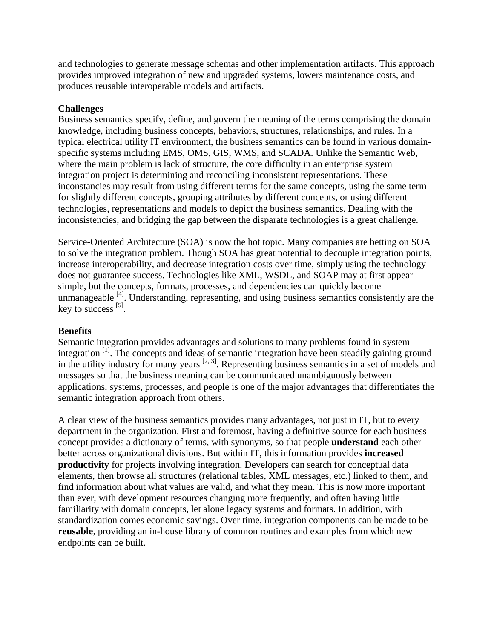and technologies to generate message schemas and other implementation artifacts. This approach provides improved integration of new and upgraded systems, lowers maintenance costs, and produces reusable interoperable models and artifacts.

## **Challenges**

Business semantics specify, define, and govern the meaning of the terms comprising the domain knowledge, including business concepts, behaviors, structures, relationships, and rules. In a typical electrical utility IT environment, the business semantics can be found in various domainspecific systems including EMS, OMS, GIS, WMS, and SCADA. Unlike the Semantic Web, where the main problem is lack of structure, the core difficulty in an enterprise system integration project is determining and reconciling inconsistent representations. These inconstancies may result from using different terms for the same concepts, using the same term for slightly different concepts, grouping attributes by different concepts, or using different technologies, representations and models to depict the business semantics. Dealing with the inconsistencies, and bridging the gap between the disparate technologies is a great challenge.

Service-Oriented Architecture (SOA) is now the hot topic. Many companies are betting on SOA to solve the integration problem. Though SOA has great potential to decouple integration points, increase interoperability, and decrease integration costs over time, simply using the technology does not guarantee success. Technologies like XML, WSDL, and SOAP may at first appear simple, but the concepts, formats, processes, and dependencies can quickly become unmanageable  $[4]$ . Understanding, representing, and using business semantics consistently are the key to success  $^{[5]}$ .

#### **Benefits**

Semantic integration provides advantages and solutions to many problems found in system integration [1]. The concepts and ideas of semantic integration have been steadily gaining ground in the utility industry for many years  $[2, 3]$ . Representing business semantics in a set of models and messages so that the business meaning can be communicated unambiguously between applications, systems, processes, and people is one of the major advantages that differentiates the semantic integration approach from others.

A clear view of the business semantics provides many advantages, not just in IT, but to every department in the organization. First and foremost, having a definitive source for each business concept provides a dictionary of terms, with synonyms, so that people **understand** each other better across organizational divisions. But within IT, this information provides **increased productivity** for projects involving integration. Developers can search for conceptual data elements, then browse all structures (relational tables, XML messages, etc.) linked to them, and find information about what values are valid, and what they mean. This is now more important than ever, with development resources changing more frequently, and often having little familiarity with domain concepts, let alone legacy systems and formats. In addition, with standardization comes economic savings. Over time, integration components can be made to be **reusable**, providing an in-house library of common routines and examples from which new endpoints can be built.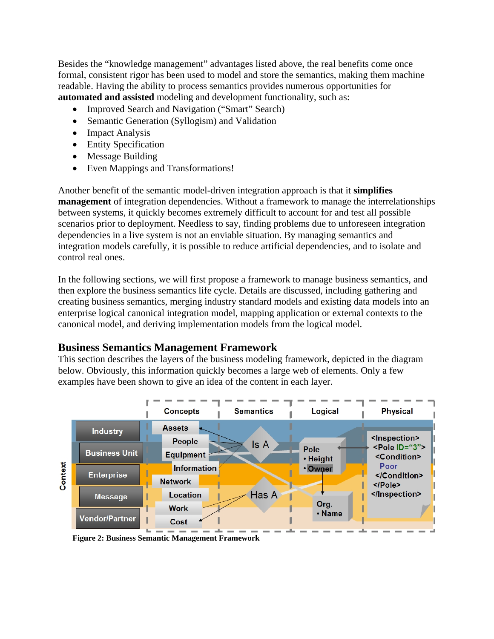Besides the "knowledge management" advantages listed above, the real benefits come once formal, consistent rigor has been used to model and store the semantics, making them machine readable. Having the ability to process semantics provides numerous opportunities for **automated and assisted** modeling and development functionality, such as:

- Improved Search and Navigation ("Smart" Search)
- Semantic Generation (Syllogism) and Validation
- Impact Analysis
- Entity Specification
- Message Building
- Even Mappings and Transformations!

Another benefit of the semantic model-driven integration approach is that it **simplifies management** of integration dependencies. Without a framework to manage the interrelationships between systems, it quickly becomes extremely difficult to account for and test all possible scenarios prior to deployment. Needless to say, finding problems due to unforeseen integration dependencies in a live system is not an enviable situation. By managing semantics and integration models carefully, it is possible to reduce artificial dependencies, and to isolate and control real ones.

In the following sections, we will first propose a framework to manage business semantics, and then explore the business semantics life cycle. Details are discussed, including gathering and creating business semantics, merging industry standard models and existing data models into an enterprise logical canonical integration model, mapping application or external contexts to the canonical model, and deriving implementation models from the logical model.

## **Business Semantics Management Framework**

This section describes the layers of the business modeling framework, depicted in the diagram below. Obviously, this information quickly becomes a large web of elements. Only a few examples have been shown to give an idea of the content in each layer.



**Figure 2: Business Semantic Management Framework**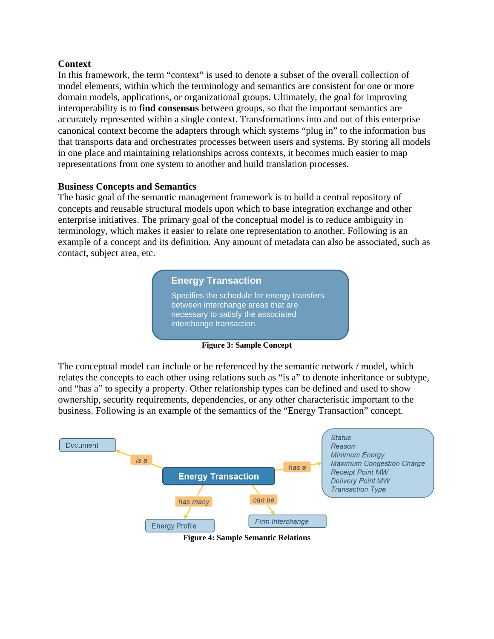### **Context**

In this framework, the term "context" is used to denote a subset of the overall collection of model elements, within which the terminology and semantics are consistent for one or more domain models, applications, or organizational groups. Ultimately, the goal for improving interoperability is to **find consensus** between groups, so that the important semantics are accurately represented within a single context. Transformations into and out of this enterprise canonical context become the adapters through which systems "plug in" to the information bus that transports data and orchestrates processes between users and systems. By storing all models in one place and maintaining relationships across contexts, it becomes much easier to map representations from one system to another and build translation processes.

#### **Business Concepts and Semantics**

The basic goal of the semantic management framework is to build a central repository of concepts and reusable structural models upon which to base integration exchange and other enterprise initiatives. The primary goal of the conceptual model is to reduce ambiguity in terminology, which makes it easier to relate one representation to another. Following is an example of a concept and its definition. Any amount of metadata can also be associated, such as contact, subject area, etc.

#### **Energy Transaction**

Specifies the schedule for energy transfers between interchange areas that are necessary to satisfy the associated interchange transaction.

**Figure 3: Sample Concept** 

The conceptual model can include or be referenced by the semantic network / model, which relates the concepts to each other using relations such as "is a" to denote inheritance or subtype, and "has a" to specify a property. Other relationship types can be defined and used to show ownership, security requirements, dependencies, or any other characteristic important to the business. Following is an example of the semantics of the "Energy Transaction" concept.



**Figure 4: Sample Semantic Relations**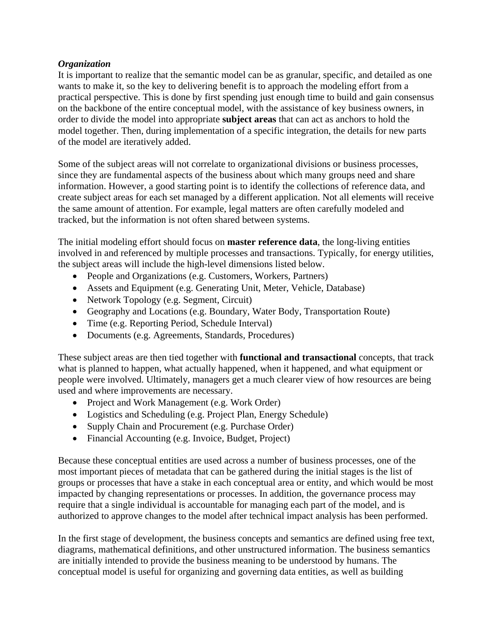### *Organization*

It is important to realize that the semantic model can be as granular, specific, and detailed as one wants to make it, so the key to delivering benefit is to approach the modeling effort from a practical perspective. This is done by first spending just enough time to build and gain consensus on the backbone of the entire conceptual model, with the assistance of key business owners, in order to divide the model into appropriate **subject areas** that can act as anchors to hold the model together. Then, during implementation of a specific integration, the details for new parts of the model are iteratively added.

Some of the subject areas will not correlate to organizational divisions or business processes, since they are fundamental aspects of the business about which many groups need and share information. However, a good starting point is to identify the collections of reference data, and create subject areas for each set managed by a different application. Not all elements will receive the same amount of attention. For example, legal matters are often carefully modeled and tracked, but the information is not often shared between systems.

The initial modeling effort should focus on **master reference data**, the long-living entities involved in and referenced by multiple processes and transactions. Typically, for energy utilities, the subject areas will include the high-level dimensions listed below.

- People and Organizations (e.g. Customers, Workers, Partners)
- Assets and Equipment (e.g. Generating Unit, Meter, Vehicle, Database)
- Network Topology (e.g. Segment, Circuit)
- Geography and Locations (e.g. Boundary, Water Body, Transportation Route)
- Time (e.g. Reporting Period, Schedule Interval)
- Documents (e.g. Agreements, Standards, Procedures)

These subject areas are then tied together with **functional and transactional** concepts, that track what is planned to happen, what actually happened, when it happened, and what equipment or people were involved. Ultimately, managers get a much clearer view of how resources are being used and where improvements are necessary.

- Project and Work Management (e.g. Work Order)
- Logistics and Scheduling (e.g. Project Plan, Energy Schedule)
- Supply Chain and Procurement (e.g. Purchase Order)
- Financial Accounting (e.g. Invoice, Budget, Project)

Because these conceptual entities are used across a number of business processes, one of the most important pieces of metadata that can be gathered during the initial stages is the list of groups or processes that have a stake in each conceptual area or entity, and which would be most impacted by changing representations or processes. In addition, the governance process may require that a single individual is accountable for managing each part of the model, and is authorized to approve changes to the model after technical impact analysis has been performed.

In the first stage of development, the business concepts and semantics are defined using free text, diagrams, mathematical definitions, and other unstructured information. The business semantics are initially intended to provide the business meaning to be understood by humans. The conceptual model is useful for organizing and governing data entities, as well as building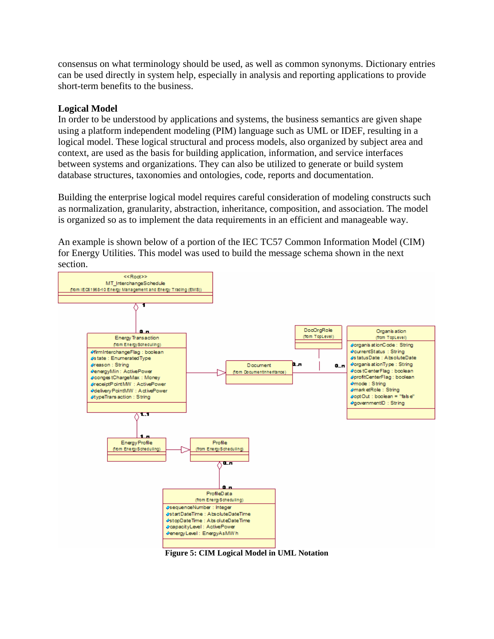consensus on what terminology should be used, as well as common synonyms. Dictionary entries can be used directly in system help, especially in analysis and reporting applications to provide short-term benefits to the business.

### **Logical Model**

In order to be understood by applications and systems, the business semantics are given shape using a platform independent modeling (PIM) language such as UML or IDEF, resulting in a logical model. These logical structural and process models, also organized by subject area and context, are used as the basis for building application, information, and service interfaces between systems and organizations. They can also be utilized to generate or build system database structures, taxonomies and ontologies, code, reports and documentation.

Building the enterprise logical model requires careful consideration of modeling constructs such as normalization, granularity, abstraction, inheritance, composition, and association. The model is organized so as to implement the data requirements in an efficient and manageable way.

An example is shown below of a portion of the IEC TC57 Common Information Model (CIM) for Energy Utilities. This model was used to build the message schema shown in the next section.



**Figure 5: CIM Logical Model in UML Notation**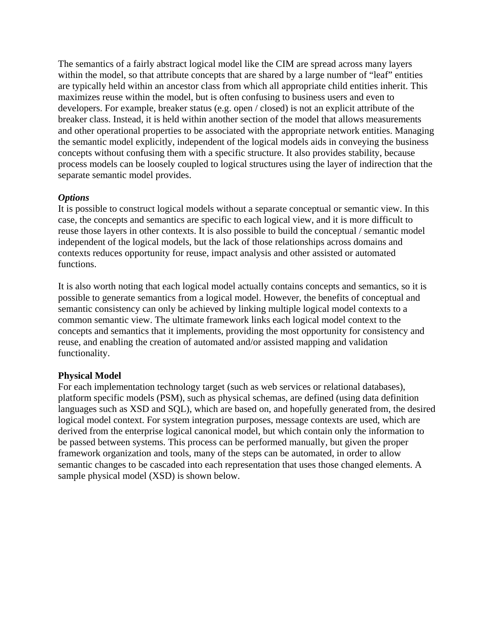The semantics of a fairly abstract logical model like the CIM are spread across many layers within the model, so that attribute concepts that are shared by a large number of "leaf" entities are typically held within an ancestor class from which all appropriate child entities inherit. This maximizes reuse within the model, but is often confusing to business users and even to developers. For example, breaker status (e.g. open / closed) is not an explicit attribute of the breaker class. Instead, it is held within another section of the model that allows measurements and other operational properties to be associated with the appropriate network entities. Managing the semantic model explicitly, independent of the logical models aids in conveying the business concepts without confusing them with a specific structure. It also provides stability, because process models can be loosely coupled to logical structures using the layer of indirection that the separate semantic model provides.

#### *Options*

It is possible to construct logical models without a separate conceptual or semantic view. In this case, the concepts and semantics are specific to each logical view, and it is more difficult to reuse those layers in other contexts. It is also possible to build the conceptual / semantic model independent of the logical models, but the lack of those relationships across domains and contexts reduces opportunity for reuse, impact analysis and other assisted or automated functions.

It is also worth noting that each logical model actually contains concepts and semantics, so it is possible to generate semantics from a logical model. However, the benefits of conceptual and semantic consistency can only be achieved by linking multiple logical model contexts to a common semantic view. The ultimate framework links each logical model context to the concepts and semantics that it implements, providing the most opportunity for consistency and reuse, and enabling the creation of automated and/or assisted mapping and validation functionality.

## **Physical Model**

For each implementation technology target (such as web services or relational databases), platform specific models (PSM), such as physical schemas, are defined (using data definition languages such as XSD and SQL), which are based on, and hopefully generated from, the desired logical model context. For system integration purposes, message contexts are used, which are derived from the enterprise logical canonical model, but which contain only the information to be passed between systems. This process can be performed manually, but given the proper framework organization and tools, many of the steps can be automated, in order to allow semantic changes to be cascaded into each representation that uses those changed elements. A sample physical model (XSD) is shown below.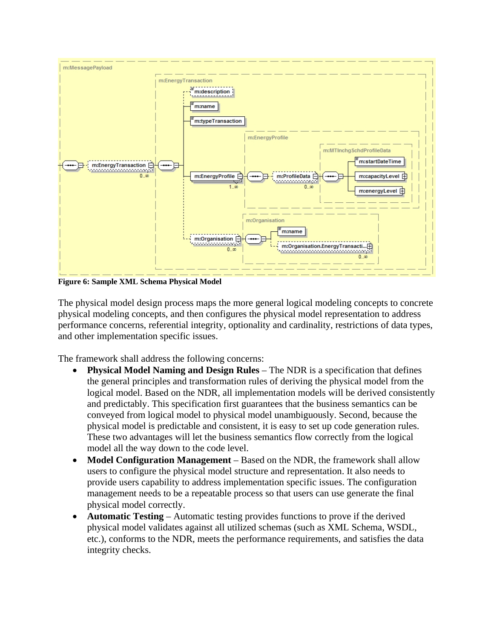

**Figure 6: Sample XML Schema Physical Model** 

The physical model design process maps the more general logical modeling concepts to concrete physical modeling concepts, and then configures the physical model representation to address performance concerns, referential integrity, optionality and cardinality, restrictions of data types, and other implementation specific issues.

The framework shall address the following concerns:

- **Physical Model Naming and Design Rules** The NDR is a specification that defines the general principles and transformation rules of deriving the physical model from the logical model. Based on the NDR, all implementation models will be derived consistently and predictably. This specification first guarantees that the business semantics can be conveyed from logical model to physical model unambiguously. Second, because the physical model is predictable and consistent, it is easy to set up code generation rules. These two advantages will let the business semantics flow correctly from the logical model all the way down to the code level.
- **Model Configuration Management** Based on the NDR, the framework shall allow users to configure the physical model structure and representation. It also needs to provide users capability to address implementation specific issues. The configuration management needs to be a repeatable process so that users can use generate the final physical model correctly.
- **Automatic Testing** Automatic testing provides functions to prove if the derived physical model validates against all utilized schemas (such as XML Schema, WSDL, etc.), conforms to the NDR, meets the performance requirements, and satisfies the data integrity checks.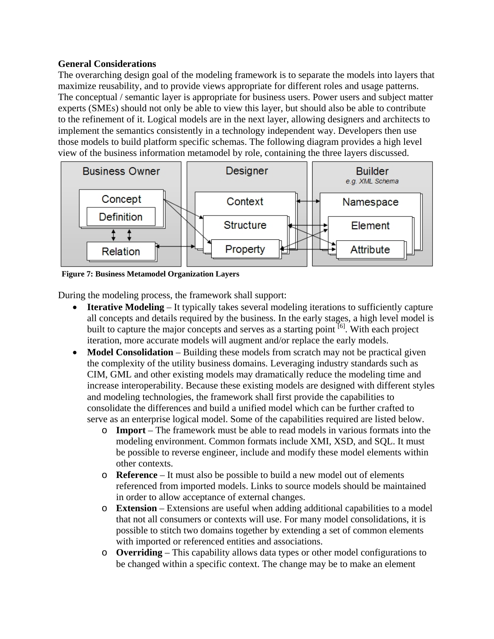## **General Considerations**

The overarching design goal of the modeling framework is to separate the models into layers that maximize reusability, and to provide views appropriate for different roles and usage patterns. The conceptual / semantic layer is appropriate for business users. Power users and subject matter experts (SMEs) should not only be able to view this layer, but should also be able to contribute to the refinement of it. Logical models are in the next layer, allowing designers and architects to implement the semantics consistently in a technology independent way. Developers then use those models to build platform specific schemas. The following diagram provides a high level view of the business information metamodel by role, containing the three layers discussed.



**Figure 7: Business Metamodel Organization Layers** 

During the modeling process, the framework shall support:

- **Iterative Modeling** It typically takes several modeling iterations to sufficiently capture all concepts and details required by the business. In the early stages, a high level model is built to capture the major concepts and serves as a starting point  $\left[6\right]$ . With each project iteration, more accurate models will augment and/or replace the early models.
- **Model Consolidation** Building these models from scratch may not be practical given the complexity of the utility business domains. Leveraging industry standards such as CIM, GML and other existing models may dramatically reduce the modeling time and increase interoperability. Because these existing models are designed with different styles and modeling technologies, the framework shall first provide the capabilities to consolidate the differences and build a unified model which can be further crafted to serve as an enterprise logical model. Some of the capabilities required are listed below.
	- o **Import**  The framework must be able to read models in various formats into the modeling environment. Common formats include XMI, XSD, and SQL. It must be possible to reverse engineer, include and modify these model elements within other contexts.
	- o **Reference**  It must also be possible to build a new model out of elements referenced from imported models. Links to source models should be maintained in order to allow acceptance of external changes.
	- o **Extension** Extensions are useful when adding additional capabilities to a model that not all consumers or contexts will use. For many model consolidations, it is possible to stitch two domains together by extending a set of common elements with imported or referenced entities and associations.
	- o **Overriding** This capability allows data types or other model configurations to be changed within a specific context. The change may be to make an element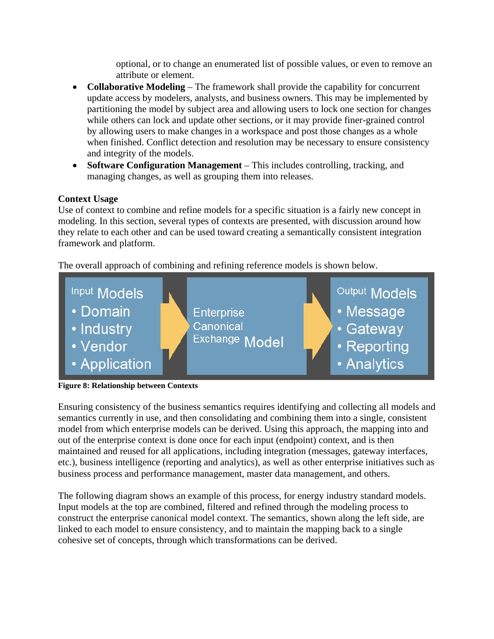optional, or to change an enumerated list of possible values, or even to remove an attribute or element.

- **Collaborative Modeling** The framework shall provide the capability for concurrent update access by modelers, analysts, and business owners. This may be implemented by partitioning the model by subject area and allowing users to lock one section for changes while others can lock and update other sections, or it may provide finer-grained control by allowing users to make changes in a workspace and post those changes as a whole when finished. Conflict detection and resolution may be necessary to ensure consistency and integrity of the models.
- **Software Configuration Management** This includes controlling, tracking, and managing changes, as well as grouping them into releases.

## **Context Usage**

Use of context to combine and refine models for a specific situation is a fairly new concept in modeling. In this section, several types of contexts are presented, with discussion around how they relate to each other and can be used toward creating a semantically consistent integration framework and platform.

The overall approach of combining and refining reference models is shown below.



**Figure 8: Relationship between Contexts** 

Ensuring consistency of the business semantics requires identifying and collecting all models and semantics currently in use, and then consolidating and combining them into a single, consistent model from which enterprise models can be derived. Using this approach, the mapping into and out of the enterprise context is done once for each input (endpoint) context, and is then maintained and reused for all applications, including integration (messages, gateway interfaces, etc.), business intelligence (reporting and analytics), as well as other enterprise initiatives such as business process and performance management, master data management, and others.

The following diagram shows an example of this process, for energy industry standard models. Input models at the top are combined, filtered and refined through the modeling process to construct the enterprise canonical model context. The semantics, shown along the left side, are linked to each model to ensure consistency, and to maintain the mapping back to a single cohesive set of concepts, through which transformations can be derived.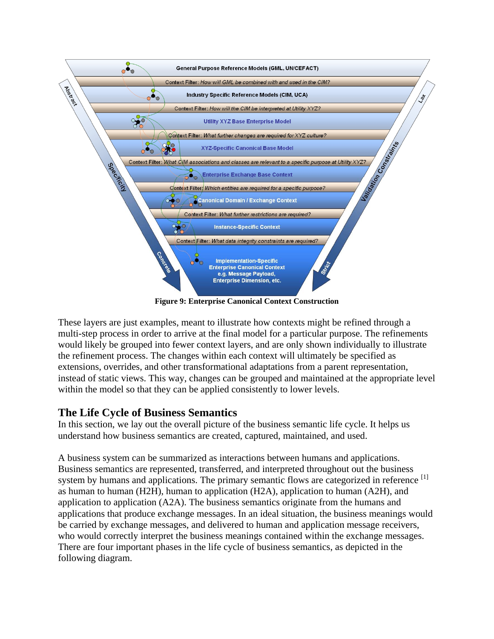

**Figure 9: Enterprise Canonical Context Construction** 

These layers are just examples, meant to illustrate how contexts might be refined through a multi-step process in order to arrive at the final model for a particular purpose. The refinements would likely be grouped into fewer context layers, and are only shown individually to illustrate the refinement process. The changes within each context will ultimately be specified as extensions, overrides, and other transformational adaptations from a parent representation, instead of static views. This way, changes can be grouped and maintained at the appropriate level within the model so that they can be applied consistently to lower levels.

## **The Life Cycle of Business Semantics**

In this section, we lay out the overall picture of the business semantic life cycle. It helps us understand how business semantics are created, captured, maintained, and used.

A business system can be summarized as interactions between humans and applications. Business semantics are represented, transferred, and interpreted throughout out the business system by humans and applications. The primary semantic flows are categorized in reference [1] as human to human (H2H), human to application (H2A), application to human (A2H), and application to application (A2A). The business semantics originate from the humans and applications that produce exchange messages. In an ideal situation, the business meanings would be carried by exchange messages, and delivered to human and application message receivers, who would correctly interpret the business meanings contained within the exchange messages. There are four important phases in the life cycle of business semantics, as depicted in the following diagram.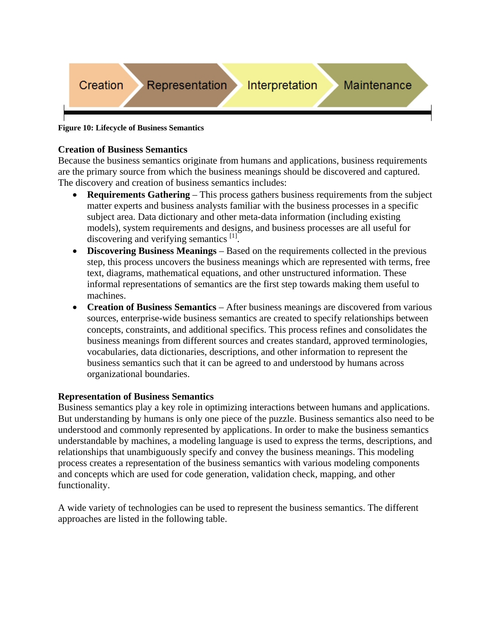

#### **Figure 10: Lifecycle of Business Semantics**

#### **Creation of Business Semantics**

Because the business semantics originate from humans and applications, business requirements are the primary source from which the business meanings should be discovered and captured. The discovery and creation of business semantics includes:

- **Requirements Gathering** This process gathers business requirements from the subject matter experts and business analysts familiar with the business processes in a specific subject area. Data dictionary and other meta-data information (including existing models), system requirements and designs, and business processes are all useful for discovering and verifying semantics <sup>[1]</sup>.
- **Discovering Business Meanings** Based on the requirements collected in the previous step, this process uncovers the business meanings which are represented with terms, free text, diagrams, mathematical equations, and other unstructured information. These informal representations of semantics are the first step towards making them useful to machines.
- **Creation of Business Semantics** After business meanings are discovered from various sources, enterprise-wide business semantics are created to specify relationships between concepts, constraints, and additional specifics. This process refines and consolidates the business meanings from different sources and creates standard, approved terminologies, vocabularies, data dictionaries, descriptions, and other information to represent the business semantics such that it can be agreed to and understood by humans across organizational boundaries.

#### **Representation of Business Semantics**

Business semantics play a key role in optimizing interactions between humans and applications. But understanding by humans is only one piece of the puzzle. Business semantics also need to be understood and commonly represented by applications. In order to make the business semantics understandable by machines, a modeling language is used to express the terms, descriptions, and relationships that unambiguously specify and convey the business meanings. This modeling process creates a representation of the business semantics with various modeling components and concepts which are used for code generation, validation check, mapping, and other functionality.

A wide variety of technologies can be used to represent the business semantics. The different approaches are listed in the following table.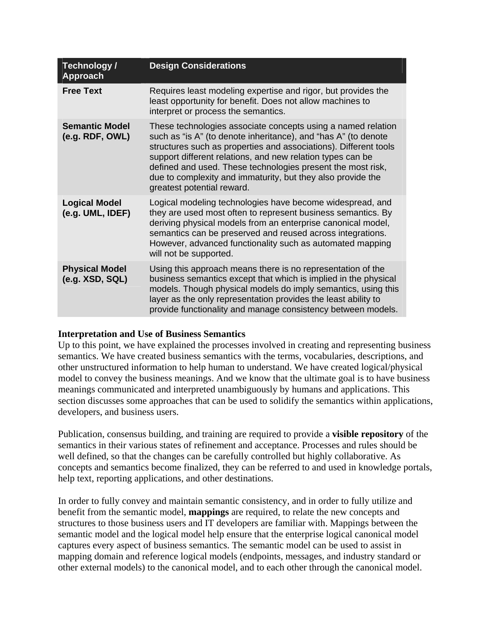| Technology /<br><b>Approach</b>          | <b>Design Considerations</b>                                                                                                                                                                                                                                                                                                                                                                                                 |
|------------------------------------------|------------------------------------------------------------------------------------------------------------------------------------------------------------------------------------------------------------------------------------------------------------------------------------------------------------------------------------------------------------------------------------------------------------------------------|
| <b>Free Text</b>                         | Requires least modeling expertise and rigor, but provides the<br>least opportunity for benefit. Does not allow machines to<br>interpret or process the semantics.                                                                                                                                                                                                                                                            |
| <b>Semantic Model</b><br>(e.g. RDF, OWL) | These technologies associate concepts using a named relation<br>such as "is A" (to denote inheritance), and "has A" (to denote<br>structures such as properties and associations). Different tools<br>support different relations, and new relation types can be<br>defined and used. These technologies present the most risk,<br>due to complexity and immaturity, but they also provide the<br>greatest potential reward. |
| <b>Logical Model</b><br>(e.g. UML, IDEF) | Logical modeling technologies have become widespread, and<br>they are used most often to represent business semantics. By<br>deriving physical models from an enterprise canonical model,<br>semantics can be preserved and reused across integrations.<br>However, advanced functionality such as automated mapping<br>will not be supported.                                                                               |
| <b>Physical Model</b><br>(e.g. XSD, SQL) | Using this approach means there is no representation of the<br>business semantics except that which is implied in the physical<br>models. Though physical models do imply semantics, using this<br>layer as the only representation provides the least ability to<br>provide functionality and manage consistency between models.                                                                                            |

#### **Interpretation and Use of Business Semantics**

Up to this point, we have explained the processes involved in creating and representing business semantics. We have created business semantics with the terms, vocabularies, descriptions, and other unstructured information to help human to understand. We have created logical/physical model to convey the business meanings. And we know that the ultimate goal is to have business meanings communicated and interpreted unambiguously by humans and applications. This section discusses some approaches that can be used to solidify the semantics within applications, developers, and business users.

Publication, consensus building, and training are required to provide a **visible repository** of the semantics in their various states of refinement and acceptance. Processes and rules should be well defined, so that the changes can be carefully controlled but highly collaborative. As concepts and semantics become finalized, they can be referred to and used in knowledge portals, help text, reporting applications, and other destinations.

In order to fully convey and maintain semantic consistency, and in order to fully utilize and benefit from the semantic model, **mappings** are required, to relate the new concepts and structures to those business users and IT developers are familiar with. Mappings between the semantic model and the logical model help ensure that the enterprise logical canonical model captures every aspect of business semantics. The semantic model can be used to assist in mapping domain and reference logical models (endpoints, messages, and industry standard or other external models) to the canonical model, and to each other through the canonical model.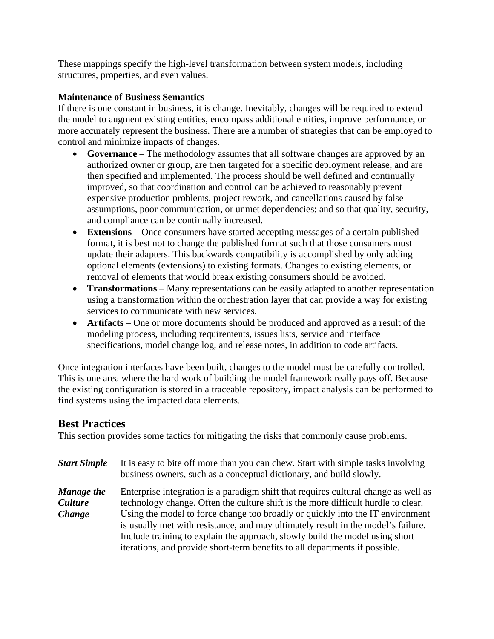These mappings specify the high-level transformation between system models, including structures, properties, and even values.

### **Maintenance of Business Semantics**

If there is one constant in business, it is change. Inevitably, changes will be required to extend the model to augment existing entities, encompass additional entities, improve performance, or more accurately represent the business. There are a number of strategies that can be employed to control and minimize impacts of changes.

- **Governance** The methodology assumes that all software changes are approved by an authorized owner or group, are then targeted for a specific deployment release, and are then specified and implemented. The process should be well defined and continually improved, so that coordination and control can be achieved to reasonably prevent expensive production problems, project rework, and cancellations caused by false assumptions, poor communication, or unmet dependencies; and so that quality, security, and compliance can be continually increased.
- **Extensions** Once consumers have started accepting messages of a certain published format, it is best not to change the published format such that those consumers must update their adapters. This backwards compatibility is accomplished by only adding optional elements (extensions) to existing formats. Changes to existing elements, or removal of elements that would break existing consumers should be avoided.
- **Transformations** Many representations can be easily adapted to another representation using a transformation within the orchestration layer that can provide a way for existing services to communicate with new services.
- **Artifacts** One or more documents should be produced and approved as a result of the modeling process, including requirements, issues lists, service and interface specifications, model change log, and release notes, in addition to code artifacts.

Once integration interfaces have been built, changes to the model must be carefully controlled. This is one area where the hard work of building the model framework really pays off. Because the existing configuration is stored in a traceable repository, impact analysis can be performed to find systems using the impacted data elements.

## **Best Practices**

This section provides some tactics for mitigating the risks that commonly cause problems.

| <b>Start Simple</b>                           | It is easy to bite off more than you can chew. Start with simple tasks involving<br>business owners, such as a conceptual dictionary, and build slowly.                                                                                                                                                                                                                                                                                                                                                        |
|-----------------------------------------------|----------------------------------------------------------------------------------------------------------------------------------------------------------------------------------------------------------------------------------------------------------------------------------------------------------------------------------------------------------------------------------------------------------------------------------------------------------------------------------------------------------------|
| Manage the<br><b>Culture</b><br><b>Change</b> | Enterprise integration is a paradigm shift that requires cultural change as well as<br>technology change. Often the culture shift is the more difficult hurdle to clear.<br>Using the model to force change too broadly or quickly into the IT environment<br>is usually met with resistance, and may ultimately result in the model's failure.<br>Include training to explain the approach, slowly build the model using short<br>iterations, and provide short-term benefits to all departments if possible. |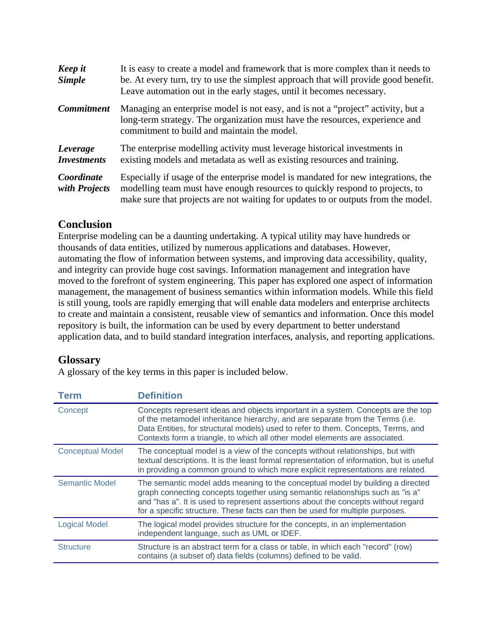| Keep it<br><b>Simple</b>       | It is easy to create a model and framework that is more complex than it needs to<br>be. At every turn, try to use the simplest approach that will provide good benefit.<br>Leave automation out in the early stages, until it becomes necessary.       |
|--------------------------------|--------------------------------------------------------------------------------------------------------------------------------------------------------------------------------------------------------------------------------------------------------|
| <b>Commitment</b>              | Managing an enterprise model is not easy, and is not a "project" activity, but a<br>long-term strategy. The organization must have the resources, experience and<br>commitment to build and maintain the model.                                        |
| Leverage<br><b>Investments</b> | The enterprise modelling activity must leverage historical investments in<br>existing models and metadata as well as existing resources and training.                                                                                                  |
| Coordinate<br>with Projects    | Especially if usage of the enterprise model is mandated for new integrations, the<br>modelling team must have enough resources to quickly respond to projects, to<br>make sure that projects are not waiting for updates to or outputs from the model. |

# **Conclusion**

Enterprise modeling can be a daunting undertaking. A typical utility may have hundreds or thousands of data entities, utilized by numerous applications and databases. However, automating the flow of information between systems, and improving data accessibility, quality, and integrity can provide huge cost savings. Information management and integration have moved to the forefront of system engineering. This paper has explored one aspect of information management, the management of business semantics within information models. While this field is still young, tools are rapidly emerging that will enable data modelers and enterprise architects to create and maintain a consistent, reusable view of semantics and information. Once this model repository is built, the information can be used by every department to better understand application data, and to build standard integration interfaces, analysis, and reporting applications.

# **Glossary**

A glossary of the key terms in this paper is included below.

| <b>Term</b>             | <b>Definition</b>                                                                                                                                                                                                                                                                                                                      |
|-------------------------|----------------------------------------------------------------------------------------------------------------------------------------------------------------------------------------------------------------------------------------------------------------------------------------------------------------------------------------|
| Concept                 | Concepts represent ideas and objects important in a system. Concepts are the top<br>of the metamodel inheritance hierarchy, and are separate from the Terms (i.e.<br>Data Entities, for structural models) used to refer to them. Concepts, Terms, and<br>Contexts form a triangle, to which all other model elements are associated.  |
| <b>Conceptual Model</b> | The conceptual model is a view of the concepts without relationships, but with<br>textual descriptions. It is the least formal representation of information, but is useful<br>in providing a common ground to which more explicit representations are related.                                                                        |
| <b>Semantic Model</b>   | The semantic model adds meaning to the conceptual model by building a directed<br>graph connecting concepts together using semantic relationships such as "is a"<br>and "has a". It is used to represent assertions about the concepts without regard<br>for a specific structure. These facts can then be used for multiple purposes. |
| <b>Logical Model</b>    | The logical model provides structure for the concepts, in an implementation<br>independent language, such as UML or IDEF.                                                                                                                                                                                                              |
| <b>Structure</b>        | Structure is an abstract term for a class or table, in which each "record" (row)<br>contains (a subset of) data fields (columns) defined to be valid.                                                                                                                                                                                  |